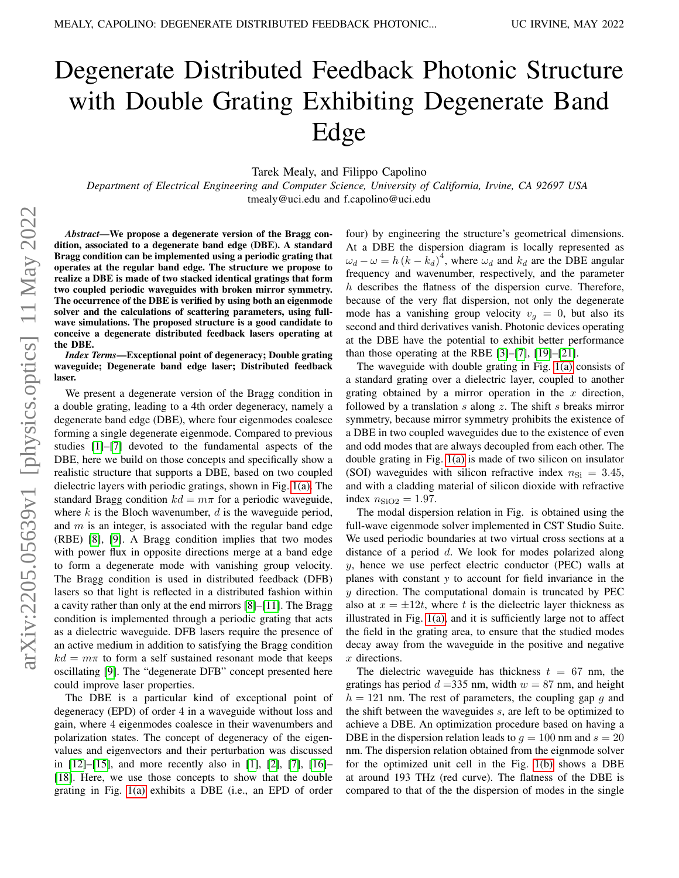## Degenerate Distributed Feedback Photonic Structure with Double Grating Exhibiting Degenerate Band Edge

Tarek Mealy, and Filippo Capolino

*Department of Electrical Engineering and Computer Science, University of California, Irvine, CA 92697 USA* tmealy@uci.edu and f.capolino@uci.edu

*Abstract*—We propose a degenerate version of the Bragg condition, associated to a degenerate band edge (DBE). A standard Bragg condition can be implemented using a periodic grating that operates at the regular band edge. The structure we propose to realize a DBE is made of two stacked identical gratings that form two coupled periodic waveguides with broken mirror symmetry. The occurrence of the DBE is verified by using both an eigenmode solver and the calculations of scattering parameters, using fullwave simulations. The proposed structure is a good candidate to conceive a degenerate distributed feedback lasers operating at the DBE.

*Index Terms*—Exceptional point of degeneracy; Double grating waveguide; Degenerate band edge laser; Distributed feedback laser.

We present a degenerate version of the Bragg condition in a double grating, leading to a 4th order degeneracy, namely a degenerate band edge (DBE), where four eigenmodes coalesce forming a single degenerate eigenmode. Compared to previous studies [\[1\]](#page-3-0)–[\[7\]](#page-3-1) devoted to the fundamental aspects of the DBE, here we build on those concepts and specifically show a realistic structure that supports a DBE, based on two coupled dielectric layers with periodic gratings, shown in Fig. [1\(a\).](#page-1-0) The standard Bragg condition  $kd = m\pi$  for a periodic waveguide, where  $k$  is the Bloch wavenumber,  $d$  is the waveguide period, and  $m$  is an integer, is associated with the regular band edge (RBE) [\[8\]](#page-3-2), [\[9\]](#page-3-3). A Bragg condition implies that two modes with power flux in opposite directions merge at a band edge to form a degenerate mode with vanishing group velocity. The Bragg condition is used in distributed feedback (DFB) lasers so that light is reflected in a distributed fashion within a cavity rather than only at the end mirrors [\[8\]](#page-3-2)–[\[11\]](#page-3-4). The Bragg condition is implemented through a periodic grating that acts as a dielectric waveguide. DFB lasers require the presence of an active medium in addition to satisfying the Bragg condition  $kd = m\pi$  to form a self sustained resonant mode that keeps oscillating [\[9\]](#page-3-3). The "degenerate DFB" concept presented here could improve laser properties.

The DBE is a particular kind of exceptional point of degeneracy (EPD) of order 4 in a waveguide without loss and gain, where 4 eigenmodes coalesce in their wavenumbers and polarization states. The concept of degeneracy of the eigenvalues and eigenvectors and their perturbation was discussed in [\[12\]](#page-3-5)–[\[15\]](#page-3-6), and more recently also in [\[1\]](#page-3-0), [\[2\]](#page-3-7), [\[7\]](#page-3-1), [\[16\]](#page-3-8)– [\[18\]](#page-3-9). Here, we use those concepts to show that the double grating in Fig. [1\(a\)](#page-1-0) exhibits a DBE (i.e., an EPD of order four) by engineering the structure's geometrical dimensions. At a DBE the dispersion diagram is locally represented as  $\omega_d - \omega = h (k - k_d)^4$ , where  $\omega_d$  and  $k_d$  are the DBE angular frequency and wavenumber, respectively, and the parameter h describes the flatness of the dispersion curve. Therefore, because of the very flat dispersion, not only the degenerate mode has a vanishing group velocity  $v_q = 0$ , but also its second and third derivatives vanish. Photonic devices operating at the DBE have the potential to exhibit better performance than those operating at the RBE [\[3\]](#page-3-10)–[\[7\]](#page-3-1), [\[19\]](#page-3-11)–[\[21\]](#page-3-12).

The waveguide with double grating in Fig. [1\(a\)](#page-1-0) consists of a standard grating over a dielectric layer, coupled to another grating obtained by a mirror operation in the  $x$  direction, followed by a translation s along z. The shift s breaks mirror symmetry, because mirror symmetry prohibits the existence of a DBE in two coupled waveguides due to the existence of even and odd modes that are always decoupled from each other. The double grating in Fig. [1\(a\)](#page-1-0) is made of two silicon on insulator (SOI) waveguides with silicon refractive index  $n_{\text{Si}} = 3.45$ , and with a cladding material of silicon dioxide with refractive index  $n_{\text{SiO2}} = 1.97$ .

The modal dispersion relation in Fig. is obtained using the full-wave eigenmode solver implemented in CST Studio Suite. We used periodic boundaries at two virtual cross sections at a distance of a period d. We look for modes polarized along  $y$ , hence we use perfect electric conductor (PEC) walls at planes with constant *y* to account for field invariance in the  $y$  direction. The computational domain is truncated by PEC also at  $x = \pm 12t$ , where t is the dielectric layer thickness as illustrated in Fig. [1\(a\),](#page-1-0) and it is sufficiently large not to affect the field in the grating area, to ensure that the studied modes decay away from the waveguide in the positive and negative x directions.

The dielectric waveguide has thickness  $t = 67$  nm, the gratings has period  $d = 335$  nm, width  $w = 87$  nm, and height  $h = 121$  nm. The rest of parameters, the coupling gap q and the shift between the waveguides s, are left to be optimized to achieve a DBE. An optimization procedure based on having a DBE in the dispersion relation leads to  $g = 100$  nm and  $s = 20$ nm. The dispersion relation obtained from the eignmode solver for the optimized unit cell in the Fig. [1\(b\)](#page-1-1) shows a DBE at around 193 THz (red curve). The flatness of the DBE is compared to that of the the dispersion of modes in the single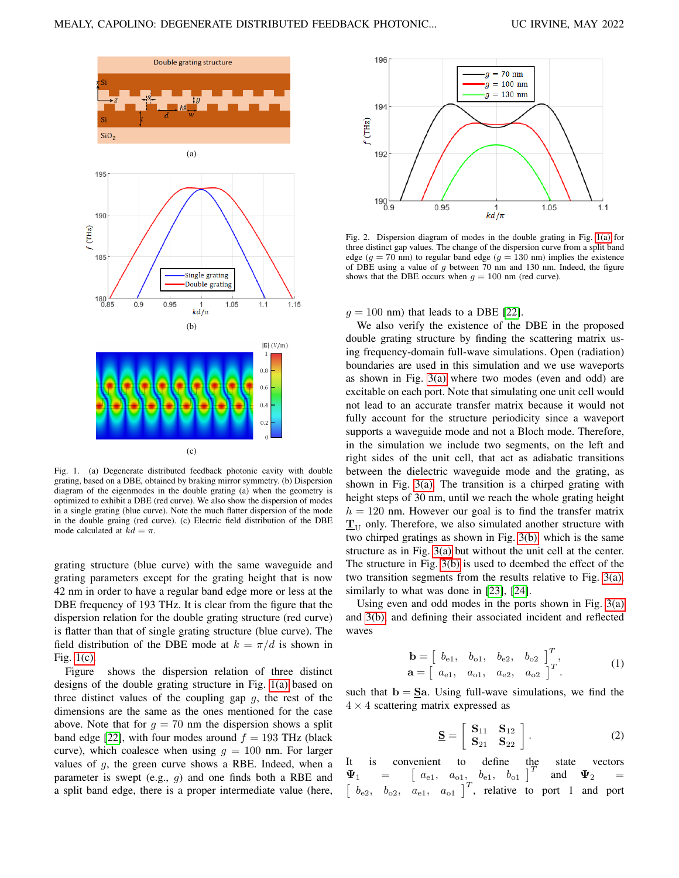<span id="page-1-1"></span><span id="page-1-0"></span>

<span id="page-1-2"></span>Fig. 1. (a) Degenerate distributed feedback photonic cavity with double grating, based on a DBE, obtained by braking mirror symmetry. (b) Dispersion diagram of the eigenmodes in the double grating (a) when the geometry is optimized to exhibit a DBE (red curve). We also show the dispersion of modes in a single grating (blue curve). Note the much flatter dispersion of the mode in the double graing (red curve). (c) Electric field distribution of the DBE mode calculated at  $kd = \pi$ .

grating structure (blue curve) with the same waveguide and grating parameters except for the grating height that is now 42 nm in order to have a regular band edge more or less at the DBE frequency of 193 THz. It is clear from the figure that the dispersion relation for the double grating structure (red curve) is flatter than that of single grating structure (blue curve). The field distribution of the DBE mode at  $k = \pi/d$  is shown in Fig. [1\(c\).](#page-1-2)

Figure shows the dispersion relation of three distinct designs of the double grating structure in Fig. [1\(a\)](#page-1-0) based on three distinct values of the coupling gap  $g$ , the rest of the dimensions are the same as the ones mentioned for the case above. Note that for  $q = 70$  nm the dispersion shows a split band edge [\[22\]](#page-3-13), with four modes around  $f = 193$  THz (black curve), which coalesce when using  $q = 100$  nm. For larger values of  $g$ , the green curve shows a RBE. Indeed, when a parameter is swept (e.g.,  $q$ ) and one finds both a RBE and a split band edge, there is a proper intermediate value (here,



Fig. 2. Dispersion diagram of modes in the double grating in Fig. [1\(a\)](#page-1-0) for three distinct gap values. The change of the dispersion curve from a split band edge ( $g = 70$  nm) to regular band edge ( $g = 130$  nm) implies the existence of DBE using a value of  $g$  between 70 nm and 130 nm. Indeed, the figure shows that the DBE occurs when  $g = 100$  nm (red curve).

 $g = 100$  nm) that leads to a DBE [\[22\]](#page-3-13).

We also verify the existence of the DBE in the proposed double grating structure by finding the scattering matrix using frequency-domain full-wave simulations. Open (radiation) boundaries are used in this simulation and we use waveports as shown in Fig. [3\(a\)](#page-2-0) where two modes (even and odd) are excitable on each port. Note that simulating one unit cell would not lead to an accurate transfer matrix because it would not fully account for the structure periodicity since a waveport supports a waveguide mode and not a Bloch mode. Therefore, in the simulation we include two segments, on the left and right sides of the unit cell, that act as adiabatic transitions between the dielectric waveguide mode and the grating, as shown in Fig. [3\(a\).](#page-2-0) The transition is a chirped grating with height steps of 30 nm, until we reach the whole grating height  $h = 120$  nm. However our goal is to find the transfer matrix  $T_{\text{U}}$  only. Therefore, we also simulated another structure with two chirped gratings as shown in Fig. [3\(b\),](#page-2-1) which is the same structure as in Fig. [3\(a\)](#page-2-0) but without the unit cell at the center. The structure in Fig. [3\(b\)](#page-2-1) is used to deembed the effect of the two transition segments from the results relative to Fig. [3\(a\),](#page-2-0) similarly to what was done in [\[23\]](#page-3-14), [\[24\]](#page-3-15).

Using even and odd modes in the ports shown in Fig. [3\(a\)](#page-2-0) and [3\(b\),](#page-2-1) and defining their associated incident and reflected waves

$$
\mathbf{b} = \begin{bmatrix} b_{e1}, & b_{o1}, & b_{e2}, & b_{o2} \end{bmatrix}^T, \mathbf{a} = \begin{bmatrix} a_{e1}, & a_{o1}, & a_{e2}, & a_{o2} \end{bmatrix}^T.
$$
 (1)

such that  $b = Sa$ . Using full-wave simulations, we find the  $4 \times 4$  scattering matrix expressed as

$$
\underline{\mathbf{S}} = \begin{bmatrix} \mathbf{S}_{11} & \mathbf{S}_{12} \\ \mathbf{S}_{21} & \mathbf{S}_{22} \end{bmatrix} . \tag{2}
$$

It is convenient to define the state vectors  $\Psi_1 = | a_{e1}, a_{o1}, b_{e1}, b_{o1} |$  and  $\Psi_2 =$  $[a_{e1}, a_{o1}, b_{e1}, b_{o1}]^{T}$  $\begin{bmatrix} b_{e2}, & b_{o2}, & a_{e1}, & a_{o1} \end{bmatrix}^T$ , relative to port 1 and port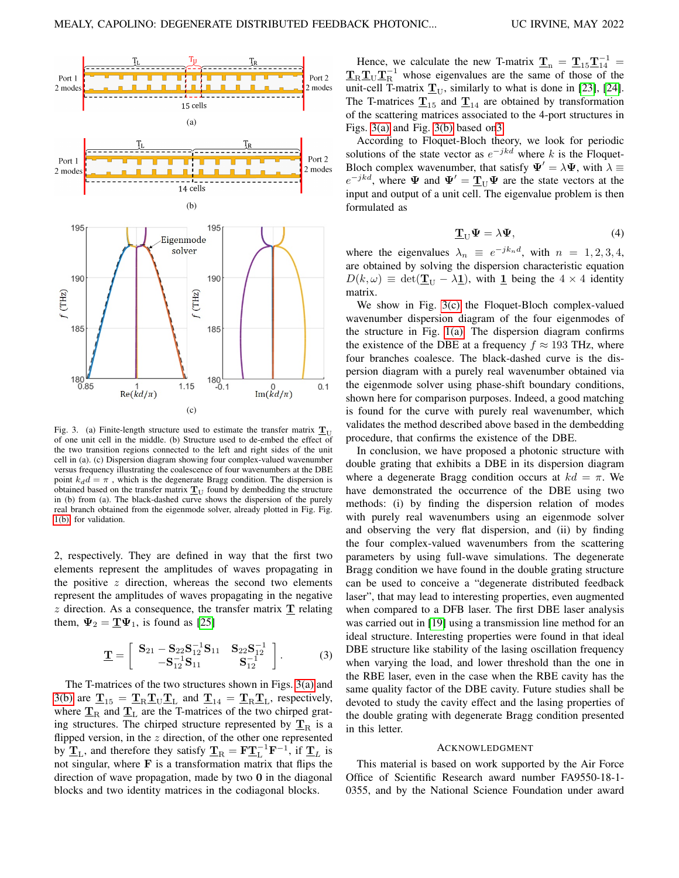<span id="page-2-3"></span><span id="page-2-1"></span><span id="page-2-0"></span>

Fig. 3. (a) Finite-length structure used to estimate the transfer matrix  $T_{\text{U}}$ of one unit cell in the middle. (b) Structure used to de-embed the effect of the two transition regions connected to the left and right sides of the unit cell in (a). (c) Dispersion diagram showing four complex-valued wavenumber versus frequency illustrating the coalescence of four wavenumbers at the DBE point  $k_d d = \pi$ , which is the degenerate Bragg condition. The dispersion is obtained based on the transfer matrix  $T_U$  found by dembedding the structure in (b) from (a). The black-dashed curve shows the dispersion of the purely real branch obtained from the eigenmode solver, already plotted in Fig. Fig. [1\(b\),](#page-1-1) for validation.

2, respectively. They are defined in way that the first two elements represent the amplitudes of waves propagating in the positive  $z$  direction, whereas the second two elements represent the amplitudes of waves propagating in the negative  $z$  direction. As a consequence, the transfer matrix  $\mathbf{T}$  relating them,  $\Psi_2 = \underline{\mathbf{T}} \Psi_1$ , is found as [\[25\]](#page-3-16)

<span id="page-2-2"></span>
$$
\mathbf{\underline{T}} = \left[ \begin{array}{cc} \mathbf{S}_{21} - \mathbf{S}_{22} \mathbf{S}_{12}^{-1} \mathbf{S}_{11} & \mathbf{S}_{22} \mathbf{S}_{12}^{-1} \\ - \mathbf{S}_{12}^{-1} \mathbf{S}_{11} & \mathbf{S}_{12}^{-1} \end{array} \right].
$$
 (3)

The T-matrices of the two structures shown in Figs. [3\(a\)](#page-2-0) and [3\(b\)](#page-2-1) are  $\underline{T}_{15} = \underline{T}_R \underline{T}_U \underline{T}_L$  and  $\underline{T}_{14} = \underline{T}_R \underline{T}_L$ , respectively, where  $\underline{T}_{\rm R}$  and  $\underline{T}_{\rm L}$  are the T-matrices of the two chirped grating structures. The chirped structure represented by  $T<sub>R</sub>$  is a flipped version, in the  $z$  direction, of the other one represented by  $\underline{\mathbf{T}}_L$ , and therefore they satisfy  $\underline{\mathbf{T}}_R = \mathbf{F} \underline{\mathbf{T}}_L^{-1} \mathbf{F}^{-1}$ , if  $\underline{\mathbf{T}}_L$  is not singular, where  $\bf{F}$  is a transformation matrix that flips the direction of wave propagation, made by two  $0$  in the diagonal blocks and two identity matrices in the codiagonal blocks.

Hence, we calculate the new T-matrix  $\mathbf{T}_n = \mathbf{T}_{15} \mathbf{T}_{14}^{-1} =$  $\underline{\mathbf{T}}_{\text{R}}\underline{\mathbf{T}}_{\text{U}}\underline{\mathbf{T}}_{\text{R}}^{-1}$  whose eigenvalues are the same of those of the unit-cell T-matrix  $\underline{\mathbf{T}}_U$ , similarly to what is done in [\[23\]](#page-3-14), [\[24\]](#page-3-15). The T-matrices  $\underline{T}_{15}$  and  $\underline{T}_{14}$  are obtained by transformation of the scattering matrices associated to the 4-port structures in Figs. [3\(a\)](#page-2-0) and Fig. [3\(b\)](#page-2-1) based o[n3.](#page-2-2)

According to Floquet-Bloch theory, we look for periodic solutions of the state vector as  $e^{-jkd}$  where k is the Floquet-Bloch complex wavenumber, that satisfy  $\Psi' = \lambda \Psi$ , with  $\lambda \equiv$  $e^{-jkd}$ , where  $\Psi$  and  $\Psi' = \underline{\mathbf{T}}_{U} \Psi$  are the state vectors at the input and output of a unit cell. The eigenvalue problem is then formulated as

$$
\underline{\mathbf{T}}_{\mathbf{U}}\Psi = \lambda\Psi,\tag{4}
$$

where the eigenvalues  $\lambda_n \equiv e^{-j k_n d}$ , with  $n = 1, 2, 3, 4$ , are obtained by solving the dispersion characteristic equation  $D(k,\omega) \equiv \det(\mathbf{T}_{\text{U}} - \lambda \mathbf{1})$ , with 1 being the  $4 \times 4$  identity matrix.

We show in Fig. [3\(c\)](#page-2-3) the Floquet-Bloch complex-valued wavenumber dispersion diagram of the four eigenmodes of the structure in Fig. [1\(a\).](#page-1-0) The dispersion diagram confirms the existence of the DBE at a frequency  $f \approx 193$  THz, where four branches coalesce. The black-dashed curve is the dispersion diagram with a purely real wavenumber obtained via the eigenmode solver using phase-shift boundary conditions, shown here for comparison purposes. Indeed, a good matching is found for the curve with purely real wavenumber, which validates the method described above based in the dembedding procedure, that confirms the existence of the DBE.

In conclusion, we have proposed a photonic structure with double grating that exhibits a DBE in its dispersion diagram where a degenerate Bragg condition occurs at  $kd = \pi$ . We have demonstrated the occurrence of the DBE using two methods: (i) by finding the dispersion relation of modes with purely real wavenumbers using an eigenmode solver and observing the very flat dispersion, and (ii) by finding the four complex-valued wavenumbers from the scattering parameters by using full-wave simulations. The degenerate Bragg condition we have found in the double grating structure can be used to conceive a "degenerate distributed feedback laser", that may lead to interesting properties, even augmented when compared to a DFB laser. The first DBE laser analysis was carried out in [\[19\]](#page-3-11) using a transmission line method for an ideal structure. Interesting properties were found in that ideal DBE structure like stability of the lasing oscillation frequency when varying the load, and lower threshold than the one in the RBE laser, even in the case when the RBE cavity has the same quality factor of the DBE cavity. Future studies shall be devoted to study the cavity effect and the lasing properties of the double grating with degenerate Bragg condition presented in this letter.

## ACKNOWLEDGMENT

This material is based on work supported by the Air Force Office of Scientific Research award number FA9550-18-1- 0355, and by the National Science Foundation under award